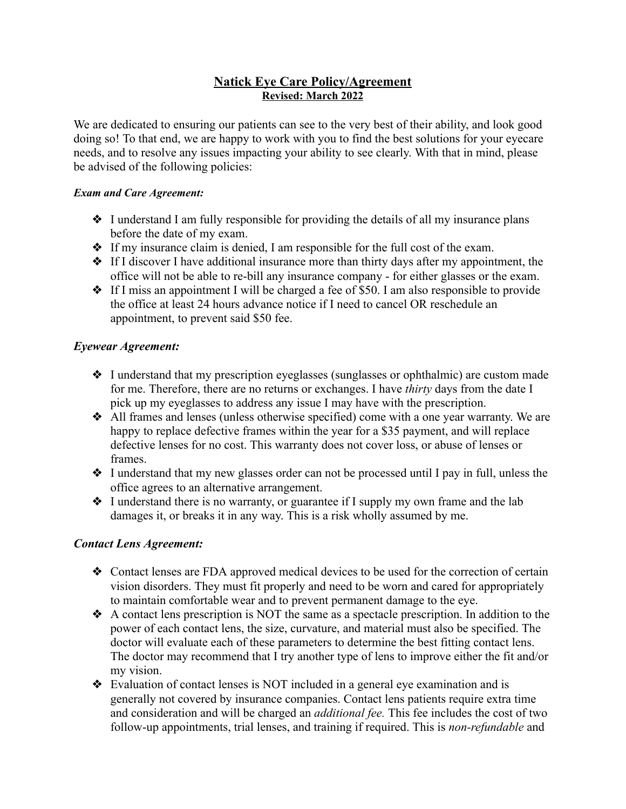# **Natick Eye Care Policy/Agreement Revised: March 2022**

We are dedicated to ensuring our patients can see to the very best of their ability, and look good doing so! To that end, we are happy to work with you to find the best solutions for your eyecare needs, and to resolve any issues impacting your ability to see clearly. With that in mind, please be advised of the following policies:

## *Exam and Care Agreement:*

- ❖ I understand I am fully responsible for providing the details of all my insurance plans before the date of my exam.
- ❖ If my insurance claim is denied, I am responsible for the full cost of the exam.
- ❖ If I discover I have additional insurance more than thirty days after my appointment, the office will not be able to re-bill any insurance company - for either glasses or the exam.
- ❖ If I miss an appointment I will be charged a fee of \$50. I am also responsible to provide the office at least 24 hours advance notice if I need to cancel OR reschedule an appointment, to prevent said \$50 fee.

## *Eyewear Agreement:*

- ❖ I understand that my prescription eyeglasses (sunglasses or ophthalmic) are custom made for me. Therefore, there are no returns or exchanges. I have *thirty* days from the date I pick up my eyeglasses to address any issue I may have with the prescription.
- ❖ All frames and lenses (unless otherwise specified) come with a one year warranty. We are happy to replace defective frames within the year for a \$35 payment, and will replace defective lenses for no cost. This warranty does not cover loss, or abuse of lenses or frames.
- ❖ I understand that my new glasses order can not be processed until I pay in full, unless the office agrees to an alternative arrangement.
- ❖ I understand there is no warranty, or guarantee if I supply my own frame and the lab damages it, or breaks it in any way. This is a risk wholly assumed by me.

## *Contact Lens Agreement:*

- ❖ Contact lenses are FDA approved medical devices to be used for the correction of certain vision disorders. They must fit properly and need to be worn and cared for appropriately to maintain comfortable wear and to prevent permanent damage to the eye.
- ❖ A contact lens prescription is NOT the same as a spectacle prescription. In addition to the power of each contact lens, the size, curvature, and material must also be specified. The doctor will evaluate each of these parameters to determine the best fitting contact lens. The doctor may recommend that I try another type of lens to improve either the fit and/or my vision.
- ❖ Evaluation of contact lenses is NOT included in a general eye examination and is generally not covered by insurance companies. Contact lens patients require extra time and consideration and will be charged an *additional fee.* This fee includes the cost of two follow-up appointments, trial lenses, and training if required. This is *non-refundable* and